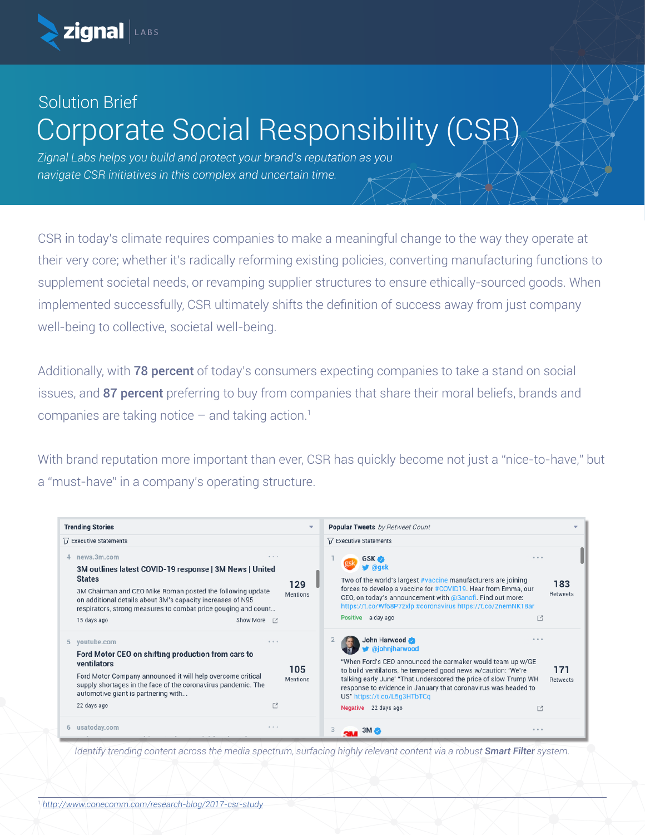

## Solution Brief Corporate Social Responsibility (CSR)

*Zignal Labs helps you build and protect your brand's reputation as you navigate CSR initiatives in this complex and uncertain time.*

CSR in today's climate requires companies to make a meaningful change to the way they operate at their very core; whether it's radically reforming existing policies, converting manufacturing functions to supplement societal needs, or revamping supplier structures to ensure ethically-sourced goods. When implemented successfully, CSR ultimately shifts the definition of success away from just company well-being to collective, societal well-being.

Additionally, with **78 percent** of today's consumers expecting companies to take a stand on social issues, and 87 percent preferring to buy from companies that share their moral beliefs, brands and companies are taking notice  $-$  and taking action.<sup>1</sup>

With brand reputation more important than ever, CSR has quickly become not just a "nice-to-have," but a "must-have" in a company's operating structure.

| <b>Trending Stories</b>                                                                                                                                                                                                                                                                                                              |                        | <b>Popular Tweets</b> by Retweet Count                                                                                                                                                                                                                                                                                                                                             |                 |
|--------------------------------------------------------------------------------------------------------------------------------------------------------------------------------------------------------------------------------------------------------------------------------------------------------------------------------------|------------------------|------------------------------------------------------------------------------------------------------------------------------------------------------------------------------------------------------------------------------------------------------------------------------------------------------------------------------------------------------------------------------------|-----------------|
| <b>□ Executive Statements</b>                                                                                                                                                                                                                                                                                                        |                        | <b>□ Executive Statements</b>                                                                                                                                                                                                                                                                                                                                                      |                 |
| news.3m.com<br>$0 - 0 = 0$<br>3M outlines latest COVID-19 response   3M News   United<br><b>States</b><br>3M Chairman and CEO Mike Roman posted the following update<br>on additional details about 3M's capacity increases of N95<br>respirators, strong measures to combat price gouging and count<br>Show More [2]<br>15 days ago | 129<br><b>Mentions</b> | <b>GSK</b><br>$- 0 1 1$<br><b>⊎</b> @ask<br>Two of the world's largest #vaccine manufacturers are joining<br>forces to develop a vaccine for #COVID19. Hear from Emma, our<br>CEO, on today's announcement with @Sanofi. Find out more:<br>https://t.co/Wf68P7zxlp #coronavirus https://t.co/2nemNK18ar<br>Positive a day ago<br>₫                                                 | 183<br>Retweets |
| youtube.com<br>5<br>8.8.8<br>Ford Motor CEO on shifting production from cars to<br>ventilators<br>Ford Motor Company announced it will help overcome critical<br>supply shortages in the face of the coronavirus pandemic. The<br>automotive giant is partnering with<br>■<br>22 days ago                                            | 105<br><b>Mentions</b> | John Harwood<br>$- 0.0$<br><b>y</b> @johnjharwood<br>"When Ford's CEO announced the carmaker would team up w/GE<br>to build ventilators, he tempered good news w/caution: 'We're<br>talking early June' "That underscored the price of slow Trump WH<br>response to evidence in January that coronavirus was headed to<br>US" https://t.co/L5q3HTbTCq<br>Negative 22 days ago<br>□ | 171<br>Retweets |
| usatoday.com<br>$0 - 0 - 0$                                                                                                                                                                                                                                                                                                          |                        | 0.0.0<br>$3M \sim$                                                                                                                                                                                                                                                                                                                                                                 |                 |

*Identify trending content across the media spectrum, surfacing highly relevant content via a robust Smart Filter system.*